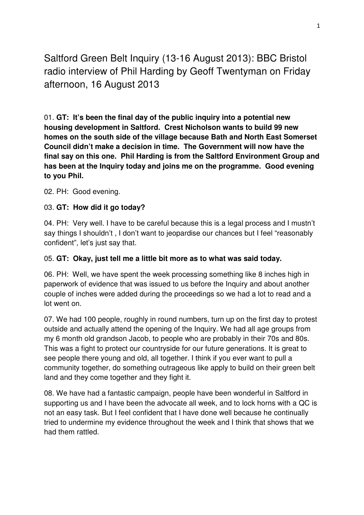Saltford Green Belt Inquiry (13-16 August 2013): BBC Bristol radio interview of Phil Harding by Geoff Twentyman on Friday afternoon, 16 August 2013

01. **GT: It's been the final day of the public inquiry into a potential new housing development in Saltford. Crest Nicholson wants to build 99 new homes on the south side of the village because Bath and North East Somerset Council didn't make a decision in time. The Government will now have the final say on this one. Phil Harding is from the Saltford Environment Group and has been at the Inquiry today and joins me on the programme. Good evening to you Phil.** 

02. PH: Good evening.

# 03. **GT: How did it go today?**

04. PH: Very well. I have to be careful because this is a legal process and I mustn't say things I shouldn't , I don't want to jeopardise our chances but I feel "reasonably confident", let's just say that.

### 05. **GT: Okay, just tell me a little bit more as to what was said today.**

06. PH: Well, we have spent the week processing something like 8 inches high in paperwork of evidence that was issued to us before the Inquiry and about another couple of inches were added during the proceedings so we had a lot to read and a lot went on.

07. We had 100 people, roughly in round numbers, turn up on the first day to protest outside and actually attend the opening of the Inquiry. We had all age groups from my 6 month old grandson Jacob, to people who are probably in their 70s and 80s. This was a fight to protect our countryside for our future generations. It is great to see people there young and old, all together. I think if you ever want to pull a community together, do something outrageous like apply to build on their green belt land and they come together and they fight it.

08. We have had a fantastic campaign, people have been wonderful in Saltford in supporting us and I have been the advocate all week, and to lock horns with a QC is not an easy task. But I feel confident that I have done well because he continually tried to undermine my evidence throughout the week and I think that shows that we had them rattled.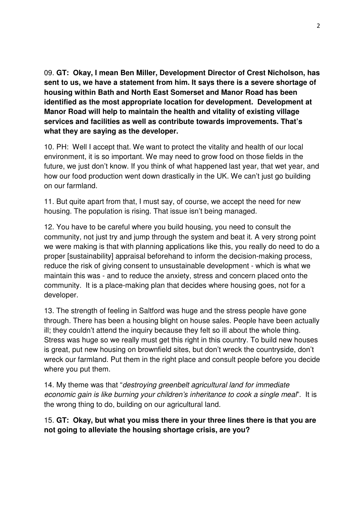09. **GT: Okay, I mean Ben Miller, Development Director of Crest Nicholson, has sent to us, we have a statement from him. It says there is a severe shortage of housing within Bath and North East Somerset and Manor Road has been identified as the most appropriate location for development. Development at Manor Road will help to maintain the health and vitality of existing village services and facilities as well as contribute towards improvements. That's what they are saying as the developer.** 

10. PH: Well I accept that. We want to protect the vitality and health of our local environment, it is so important. We may need to grow food on those fields in the future, we just don't know. If you think of what happened last year, that wet year, and how our food production went down drastically in the UK. We can't just go building on our farmland.

11. But quite apart from that, I must say, of course, we accept the need for new housing. The population is rising. That issue isn't being managed.

12. You have to be careful where you build housing, you need to consult the community, not just try and jump through the system and beat it. A very strong point we were making is that with planning applications like this, you really do need to do a proper [sustainability] appraisal beforehand to inform the decision-making process, reduce the risk of giving consent to unsustainable development - which is what we maintain this was - and to reduce the anxiety, stress and concern placed onto the community. It is a place-making plan that decides where housing goes, not for a developer.

13. The strength of feeling in Saltford was huge and the stress people have gone through. There has been a housing blight on house sales. People have been actually ill; they couldn't attend the inquiry because they felt so ill about the whole thing. Stress was huge so we really must get this right in this country. To build new houses is great, put new housing on brownfield sites, but don't wreck the countryside, don't wreck our farmland. Put them in the right place and consult people before you decide where you put them.

14. My theme was that "destroying greenbelt agricultural land for immediate" economic gain is like burning your children's inheritance to cook a single meal". It is the wrong thing to do, building on our agricultural land.

# 15. **GT: Okay, but what you miss there in your three lines there is that you are not going to alleviate the housing shortage crisis, are you?**